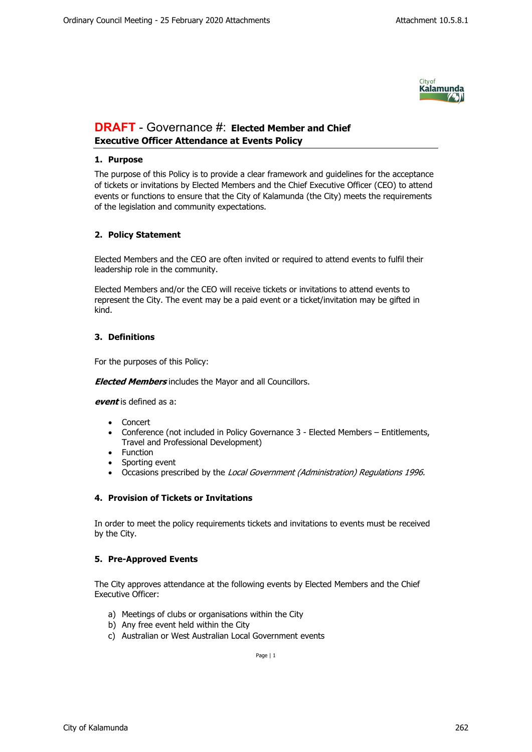

# **DRAFT** - Governance #: **Elected Member and Chief Executive Officer Attendance at Events Policy**

## **1. Purpose**

The purpose of this Policy is to provide a clear framework and guidelines for the acceptance of tickets or invitations by Elected Members and the Chief Executive Officer (CEO) to attend events or functions to ensure that the City of Kalamunda (the City) meets the requirements of the legislation and community expectations.

# **2. Policy Statement**

Elected Members and the CEO are often invited or required to attend events to fulfil their leadership role in the community.

Elected Members and/or the CEO will receive tickets or invitations to attend events to represent the City. The event may be a paid event or a ticket/invitation may be gifted in kind.

# **3. Definitions**

For the purposes of this Policy:

*Elected Members* includes the Mayor and all Councillors.

*event* is defined as a:

- Concert
- Conference (not included in Policy Governance 3 Elected Members Entitlements, Travel and Professional Development)
- Function
- Sporting event
- Occasions prescribed by the *Local Government (Administration) Regulations 1996.*

### **4. Provision of Tickets or Invitations**

In order to meet the policy requirements tickets and invitations to events must be received by the City.

### **5. Pre-Approved Events**

The City approves attendance at the following events by Elected Members and the Chief Executive Officer:

- a) Meetings of clubs or organisations within the City
- b) Any free event held within the City
- c) Australian or West Australian Local Government events

Page | 1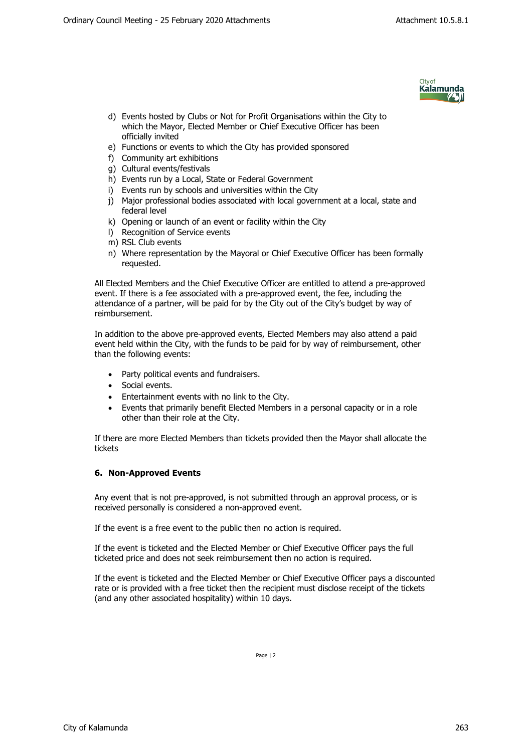

- d) Events hosted by Clubs or Not for Profit Organisations within the City to which the Mayor, Elected Member or Chief Executive Officer has been officially invited
- e) Functions or events to which the City has provided sponsored
- f) Community art exhibitions
- g) Cultural events/festivals
- h) Events run by a Local, State or Federal Government
- i) Events run by schools and universities within the City
- j) Major professional bodies associated with local government at a local, state and federal level
- k) Opening or launch of an event or facility within the City
- l) Recognition of Service events
- m) RSL Club events
- n) Where representation by the Mayoral or Chief Executive Officer has been formally requested.

All Elected Members and the Chief Executive Officer are entitled to attend a pre-approved event. If there is a fee associated with a pre-approved event, the fee, including the attendance of a partner, will be paid for by the City out of the City's budget by way of reimbursement.

In addition to the above pre-approved events, Elected Members may also attend a paid event held within the City, with the funds to be paid for by way of reimbursement, other than the following events:

- Party political events and fundraisers.
- Social events.
- Entertainment events with no link to the City.
- Events that primarily benefit Elected Members in a personal capacity or in a role other than their role at the City.

If there are more Elected Members than tickets provided then the Mayor shall allocate the tickets

#### **6. Non-Approved Events**

Any event that is not pre-approved, is not submitted through an approval process, or is received personally is considered a non-approved event.

If the event is a free event to the public then no action is required.

If the event is ticketed and the Elected Member or Chief Executive Officer pays the full ticketed price and does not seek reimbursement then no action is required.

If the event is ticketed and the Elected Member or Chief Executive Officer pays a discounted rate or is provided with a free ticket then the recipient must disclose receipt of the tickets (and any other associated hospitality) within 10 days.